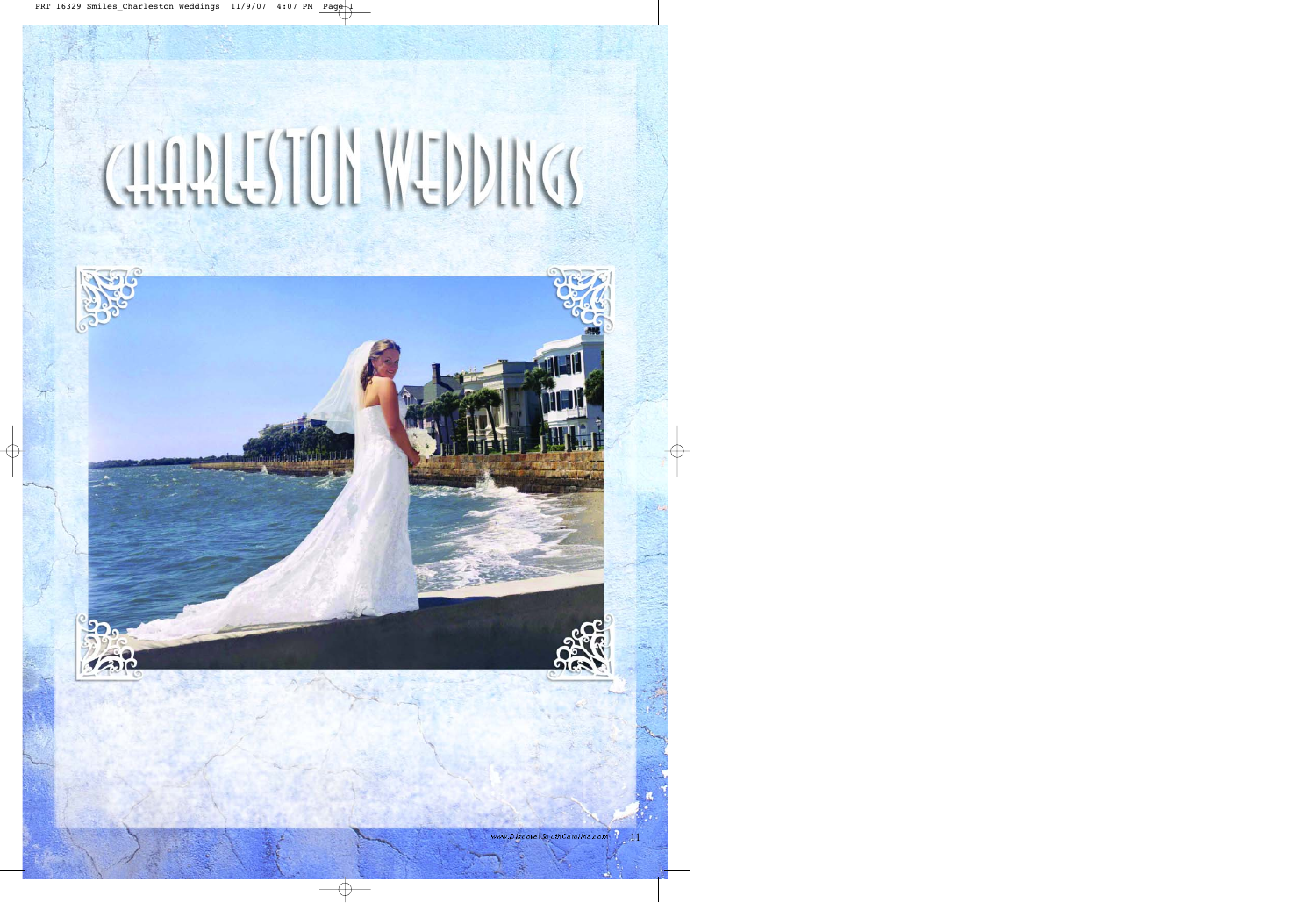## **QUARLESTON WEDDINGS**